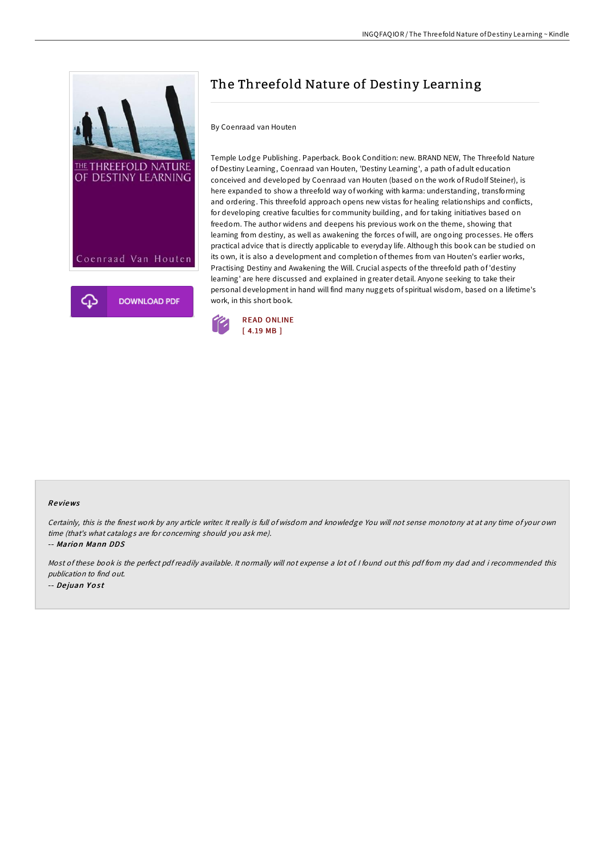

## The Threefold Nature of Destiny Learning

## By Coenraad van Houten

Temple Lodge Publishing. Paperback. Book Condition: new. BRAND NEW, The Threefold Nature of Destiny Learning, Coenraad van Houten, 'Destiny Learning', a path of adult education conceived and developed by Coenraad van Houten (based on the work of Rudolf Steiner), is here expanded to show a threefold way of working with karma: understanding, transforming and ordering. This threefold approach opens new vistas for healing relationships and conflicts, for developing creative faculties for community building, and for taking initiatives based on freedom. The author widens and deepens his previous work on the theme, showing that learning from destiny, as well as awakening the forces of will, are ongoing processes. He offers practical advice that is directly applicable to everyday life. Although this book can be studied on its own, it is also a development and completion of themes from van Houten's earlier works, Practising Destiny and Awakening the Will. Crucial aspects of the threefold path of 'destiny learning' are here discussed and explained in greater detail. Anyone seeking to take their personal development in hand will find many nuggets of spiritual wisdom, based on a lifetime's work, in this short book.



## Re views

Certainly, this is the finest work by any article writer. It really is full of wisdom and knowledge You will not sense monotony at at any time of your own time (that's what catalogs are for concerning should you ask me).

-- Mario n Mann DDS

Most of these book is the perfect pdf readily available. It normally will not expense <sup>a</sup> lot of. I found out this pdf from my dad and i recommended this publication to find out. -- Dejuan Yost